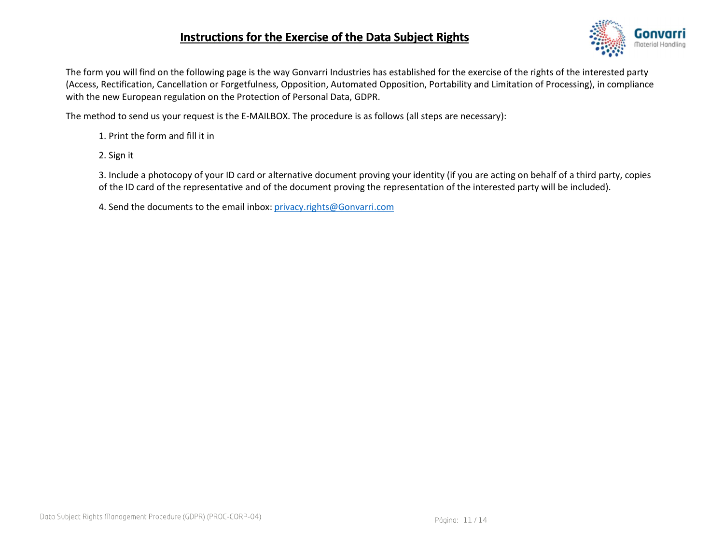## Instructions for the Exercise of the Data Subject Rights



The form you will find on the following page is the way Gonvarri Industries has established for the exercise of the rights of the interested party (Access, Rectification, Cancellation or Forgetfulness, Opposition, Automated Opposition, Portability and Limitation of Processing), in compliance with the new European regulation on the Protection of Personal Data, GDPR.

The method to send us your request is the E-MAILBOX. The procedure is as follows (all steps are necessary):

1. Print the form and fill it in

2. Sign it

3. Include a photocopy of your ID card or alternative document proving your identity (if you are acting on behalf of a third party, copies of the ID card of the representative and of the document proving the representation of the interested party will be included).

4. Send the documents to the email inbox: privacy.rights@Gonvarri.com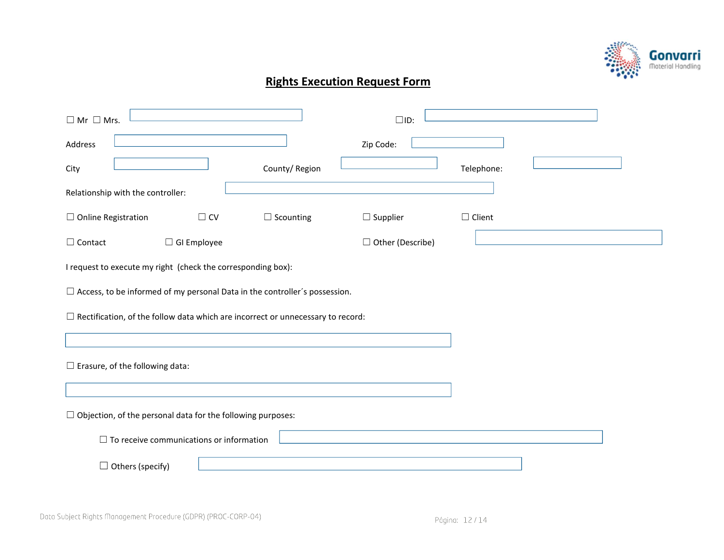

## Rights Execution Request Form

| $\Box$ Mr $\Box$ Mrs.                                                                  |                  | $\square$ ID:      |               |
|----------------------------------------------------------------------------------------|------------------|--------------------|---------------|
| Address                                                                                |                  | Zip Code:          |               |
| City                                                                                   | County/Region    |                    | Telephone:    |
| Relationship with the controller:                                                      |                  |                    |               |
| $\Box$ Online Registration<br>$\Box$ CV                                                | $\Box$ Scounting | $\Box$ Supplier    | $\Box$ Client |
| $\Box$ GI Employee<br>$\Box$ Contact                                                   |                  | □ Other (Describe) |               |
| I request to execute my right (check the corresponding box):                           |                  |                    |               |
| $\Box$ Access, to be informed of my personal Data in the controller's possession.      |                  |                    |               |
| $\Box$ Rectification, of the follow data which are incorrect or unnecessary to record: |                  |                    |               |
|                                                                                        |                  |                    |               |
| $\Box$ Erasure, of the following data:                                                 |                  |                    |               |
|                                                                                        |                  |                    |               |
| $\Box$ Objection, of the personal data for the following purposes:                     |                  |                    |               |
| $\Box$ To receive communications or information                                        |                  |                    |               |
| $\Box$ Others (specify)                                                                |                  |                    |               |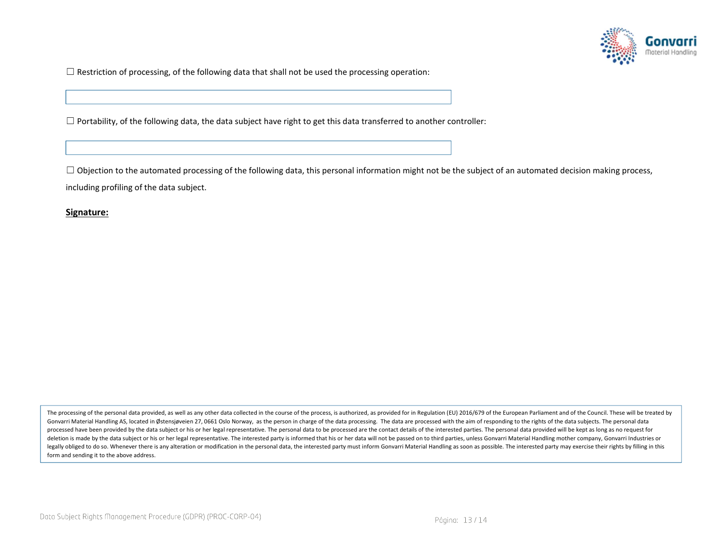

 $\Box$  Restriction of processing, of the following data that shall not be used the processing operation:

 $\Box$  Portability, of the following data, the data subject have right to get this data transferred to another controller:

 $\Box$  Objection to the automated processing of the following data, this personal information might not be the subject of an automated decision making process, including profiling of the data subject.

Signature:

The processing of the personal data provided, as well as any other data collected in the course of the process, is authorized, as provided for in Regulation (EU) 2016/679 of the European Parliament and of the Council. Thes Gonvarri Material Handling AS, located in Østensjøveien 27, 0661 Oslo Norway, as the person in charge of the data processing. The data are processed with the aim of responding to the rights of the data subjects. The person processed have been provided by the data subject or his or her legal representative. The personal data to be processed are the contact details of the interested parties. The personal data provided will be kept as long as n deletion is made by the data subject or his or her legal representative. The interested party is informed that his or her data will not be passed on to third parties, unless Gonvarri Material Handling mother company, Gonva legally obliged to do so. Whenever there is any alteration or modification in the personal data, the interested party must inform Gonvarri Material Handling as soon as possible. The interested party may exercise their righ form and sending it to the above address.